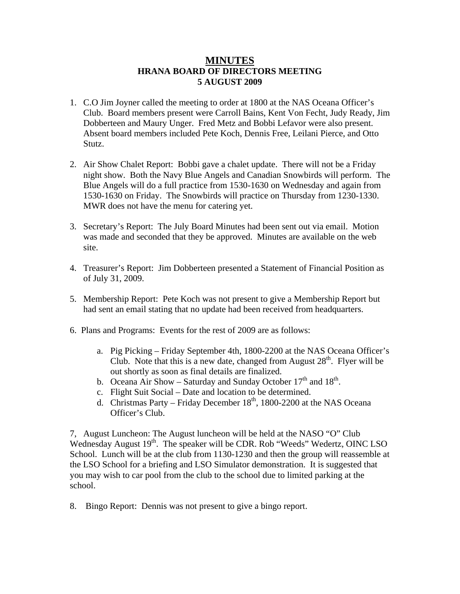## **MINUTES HRANA BOARD OF DIRECTORS MEETING 5 AUGUST 2009**

- 1. C.O Jim Joyner called the meeting to order at 1800 at the NAS Oceana Officer's Club. Board members present were Carroll Bains, Kent Von Fecht, Judy Ready, Jim Dobberteen and Maury Unger. Fred Metz and Bobbi Lefavor were also present. Absent board members included Pete Koch, Dennis Free, Leilani Pierce, and Otto Stutz.
- 2. Air Show Chalet Report: Bobbi gave a chalet update. There will not be a Friday night show. Both the Navy Blue Angels and Canadian Snowbirds will perform. The Blue Angels will do a full practice from 1530-1630 on Wednesday and again from 1530-1630 on Friday. The Snowbirds will practice on Thursday from 1230-1330. MWR does not have the menu for catering yet.
- 3. Secretary's Report: The July Board Minutes had been sent out via email. Motion was made and seconded that they be approved. Minutes are available on the web site.
- 4. Treasurer's Report: Jim Dobberteen presented a Statement of Financial Position as of July 31, 2009.
- 5. Membership Report: Pete Koch was not present to give a Membership Report but had sent an email stating that no update had been received from headquarters.
- 6. Plans and Programs: Events for the rest of 2009 are as follows:
	- a. Pig Picking Friday September 4th, 1800-2200 at the NAS Oceana Officer's Club. Note that this is a new date, changed from August  $28<sup>th</sup>$ . Flyer will be out shortly as soon as final details are finalized.
	- b. Oceana Air Show Saturday and Sunday October  $17<sup>th</sup>$  and  $18<sup>th</sup>$ .
	- c. Flight Suit Social Date and location to be determined.
	- d. Christmas Party Friday December  $18<sup>th</sup>$ , 1800-2200 at the NAS Oceana Officer's Club.

7, August Luncheon: The August luncheon will be held at the NASO "O" Club Wednesday August  $19<sup>th</sup>$ . The speaker will be CDR. Rob "Weeds" Wedertz, OINC LSO School. Lunch will be at the club from 1130-1230 and then the group will reassemble at the LSO School for a briefing and LSO Simulator demonstration. It is suggested that you may wish to car pool from the club to the school due to limited parking at the school.

8. Bingo Report: Dennis was not present to give a bingo report.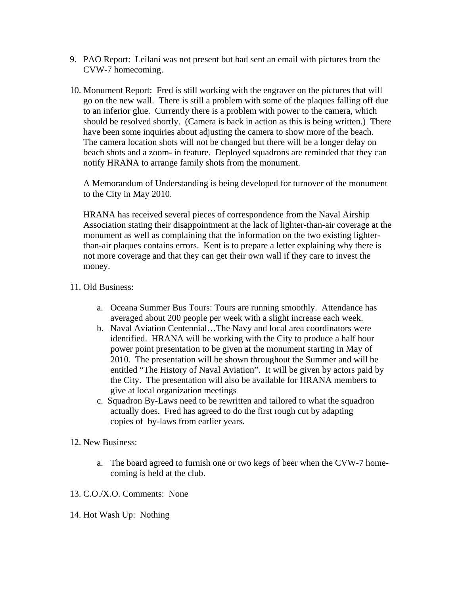- 9. PAO Report: Leilani was not present but had sent an email with pictures from the CVW-7 homecoming.
- 10. Monument Report: Fred is still working with the engraver on the pictures that will go on the new wall. There is still a problem with some of the plaques falling off due to an inferior glue. Currently there is a problem with power to the camera, which should be resolved shortly. (Camera is back in action as this is being written.) There have been some inquiries about adjusting the camera to show more of the beach. The camera location shots will not be changed but there will be a longer delay on beach shots and a zoom- in feature. Deployed squadrons are reminded that they can notify HRANA to arrange family shots from the monument.

A Memorandum of Understanding is being developed for turnover of the monument to the City in May 2010.

HRANA has received several pieces of correspondence from the Naval Airship Association stating their disappointment at the lack of lighter-than-air coverage at the monument as well as complaining that the information on the two existing lighterthan-air plaques contains errors. Kent is to prepare a letter explaining why there is not more coverage and that they can get their own wall if they care to invest the money.

- 11. Old Business:
	- a. Oceana Summer Bus Tours: Tours are running smoothly. Attendance has averaged about 200 people per week with a slight increase each week.
	- b. Naval Aviation Centennial…The Navy and local area coordinators were identified. HRANA will be working with the City to produce a half hour power point presentation to be given at the monument starting in May of 2010. The presentation will be shown throughout the Summer and will be entitled "The History of Naval Aviation". It will be given by actors paid by the City. The presentation will also be available for HRANA members to give at local organization meetings
	- c. Squadron By-Laws need to be rewritten and tailored to what the squadron actually does. Fred has agreed to do the first rough cut by adapting copies of by-laws from earlier years.
- 12. New Business:
	- a. The board agreed to furnish one or two kegs of beer when the CVW-7 homecoming is held at the club.
- 13. C.O./X.O. Comments: None
- 14. Hot Wash Up: Nothing